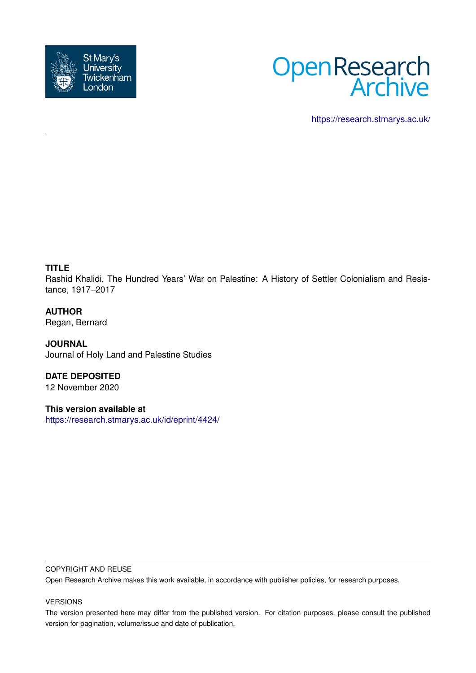



<https://research.stmarys.ac.uk/>

## **TITLE**

Rashid Khalidi, The Hundred Years' War on Palestine: A History of Settler Colonialism and Resistance, 1917–2017

## **AUTHOR**

Regan, Bernard

**JOURNAL** Journal of Holy Land and Palestine Studies

**DATE DEPOSITED** 12 November 2020

**This version available at** <https://research.stmarys.ac.uk/id/eprint/4424/>

## COPYRIGHT AND REUSE

Open Research Archive makes this work available, in accordance with publisher policies, for research purposes.

## VERSIONS

The version presented here may differ from the published version. For citation purposes, please consult the published version for pagination, volume/issue and date of publication.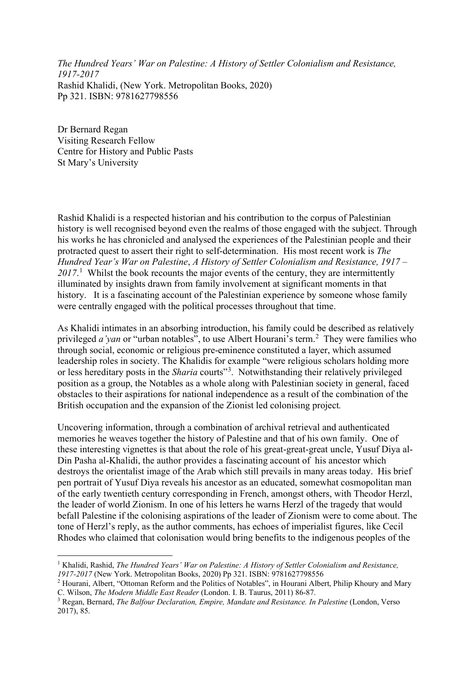*The Hundred Years' War on Palestine: A History of Settler Colonialism and Resistance, 1917-2017* Rashid Khalidi, (New York. Metropolitan Books, 2020) Pp 321. ISBN: 9781627798556

Dr Bernard Regan Visiting Research Fellow Centre for History and Public Pasts St Mary's University

Rashid Khalidi is a respected historian and his contribution to the corpus of Palestinian history is well recognised beyond even the realms of those engaged with the subject. Through his works he has chronicled and analysed the experiences of the Palestinian people and their protracted quest to assert their right to self-determination. His most recent work is *The Hundred Year's War on Palestine*, *A History of Settler Colonialism and Resistance, 1917 –*  20[1](#page-1-0)7.<sup>1</sup> Whilst the book recounts the major events of the century, they are intermittently illuminated by insights drawn from family involvement at significant moments in that history. It is a fascinating account of the Palestinian experience by someone whose family were centrally engaged with the political processes throughout that time.

As Khalidi intimates in an absorbing introduction, his family could be described as relatively privileged *a'yan* or "urban notables", to use Albert Hourani's term.[2](#page-1-1) They were families who through social, economic or religious pre-eminence constituted a layer, which assumed leadership roles in society. The Khalidis for example "were religious scholars holding more or less hereditary posts in the *Sharia* courts"<sup>[3](#page-1-2)</sup>. Notwithstanding their relatively privileged position as a group, the Notables as a whole along with Palestinian society in general, faced obstacles to their aspirations for national independence as a result of the combination of the British occupation and the expansion of the Zionist led colonising project*.*

Uncovering information, through a combination of archival retrieval and authenticated memories he weaves together the history of Palestine and that of his own family. One of these interesting vignettes is that about the role of his great-great-great uncle, Yusuf Diya al-Din Pasha al-Khalidi, the author provides a fascinating account of his ancestor which destroys the orientalist image of the Arab which still prevails in many areas today. His brief pen portrait of Yusuf Diya reveals his ancestor as an educated, somewhat cosmopolitan man of the early twentieth century corresponding in French, amongst others, with Theodor Herzl, the leader of world Zionism. In one of his letters he warns Herzl of the tragedy that would befall Palestine if the colonising aspirations of the leader of Zionism were to come about. The tone of Herzl's reply, as the author comments, has echoes of imperialist figures, like Cecil Rhodes who claimed that colonisation would bring benefits to the indigenous peoples of the

<span id="page-1-0"></span><sup>1</sup> Khalidi, Rashid, *The Hundred Years' War on Palestine: A History of Settler Colonialism and Resistance, 1917-2017* (New York. Metropolitan Books, 2020) Pp 321. ISBN: 9781627798556

<span id="page-1-1"></span><sup>&</sup>lt;sup>2</sup> Hourani, Albert, "Ottoman Reform and the Politics of Notables", in Hourani Albert, Philip Khoury and Mary C. Wilson, *The Modern Middle East Reader* (London. I. B. Taurus, 2011) 86-87.

<span id="page-1-2"></span><sup>3</sup> Regan, Bernard, *The Balfour Declaration, Empire, Mandate and Resistance. In Palestine* (London, Verso 2017), 85.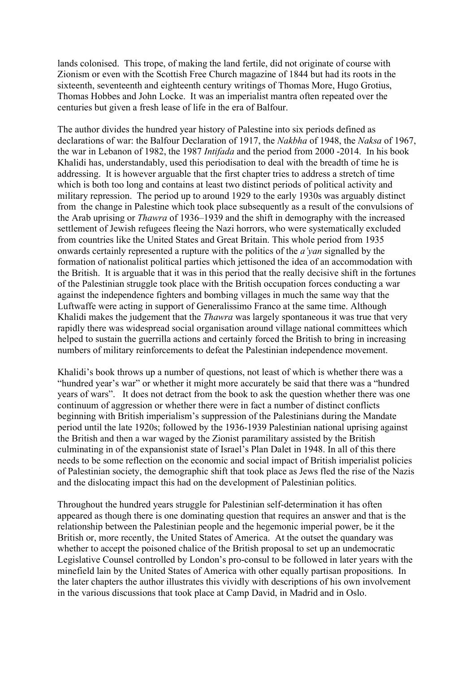lands colonised. This trope, of making the land fertile, did not originate of course with Zionism or even with the Scottish Free Church magazine of 1844 but had its roots in the sixteenth, seventeenth and eighteenth century writings of Thomas More, Hugo Grotius, Thomas Hobbes and John Locke. It was an imperialist mantra often repeated over the centuries but given a fresh lease of life in the era of Balfour.

The author divides the hundred year history of Palestine into six periods defined as declarations of war: the Balfour Declaration of 1917, the *Nakbha* of 1948, the *Naksa* of 1967, the war in Lebanon of 1982, the 1987 *Intifada* and the period from 2000 -2014. In his book Khalidi has, understandably, used this periodisation to deal with the breadth of time he is addressing. It is however arguable that the first chapter tries to address a stretch of time which is both too long and contains at least two distinct periods of political activity and military repression. The period up to around 1929 to the early 1930s was arguably distinct from the change in Palestine which took place subsequently as a result of the convulsions of the Arab uprising or *Thawra* of 1936–1939 and the shift in demography with the increased settlement of Jewish refugees fleeing the Nazi horrors, who were systematically excluded from countries like the United States and Great Britain. This whole period from 1935 onwards certainly represented a rupture with the politics of the *a'yan* signalled by the formation of nationalist political parties which jettisoned the idea of an accommodation with the British. It is arguable that it was in this period that the really decisive shift in the fortunes of the Palestinian struggle took place with the British occupation forces conducting a war against the independence fighters and bombing villages in much the same way that the Luftwaffe were acting in support of Generalissimo Franco at the same time. Although Khalidi makes the judgement that the *Thawra* was largely spontaneous it was true that very rapidly there was widespread social organisation around village national committees which helped to sustain the guerrilla actions and certainly forced the British to bring in increasing numbers of military reinforcements to defeat the Palestinian independence movement.

Khalidi's book throws up a number of questions, not least of which is whether there was a "hundred year's war" or whether it might more accurately be said that there was a "hundred years of wars". It does not detract from the book to ask the question whether there was one continuum of aggression or whether there were in fact a number of distinct conflicts beginning with British imperialism's suppression of the Palestinians during the Mandate period until the late 1920s; followed by the 1936-1939 Palestinian national uprising against the British and then a war waged by the Zionist paramilitary assisted by the British culminating in of the expansionist state of Israel's Plan Dalet in 1948. In all of this there needs to be some reflection on the economic and social impact of British imperialist policies of Palestinian society, the demographic shift that took place as Jews fled the rise of the Nazis and the dislocating impact this had on the development of Palestinian politics.

Throughout the hundred years struggle for Palestinian self-determination it has often appeared as though there is one dominating question that requires an answer and that is the relationship between the Palestinian people and the hegemonic imperial power, be it the British or, more recently, the United States of America. At the outset the quandary was whether to accept the poisoned chalice of the British proposal to set up an undemocratic Legislative Counsel controlled by London's pro-consul to be followed in later years with the minefield lain by the United States of America with other equally partisan propositions. In the later chapters the author illustrates this vividly with descriptions of his own involvement in the various discussions that took place at Camp David, in Madrid and in Oslo.